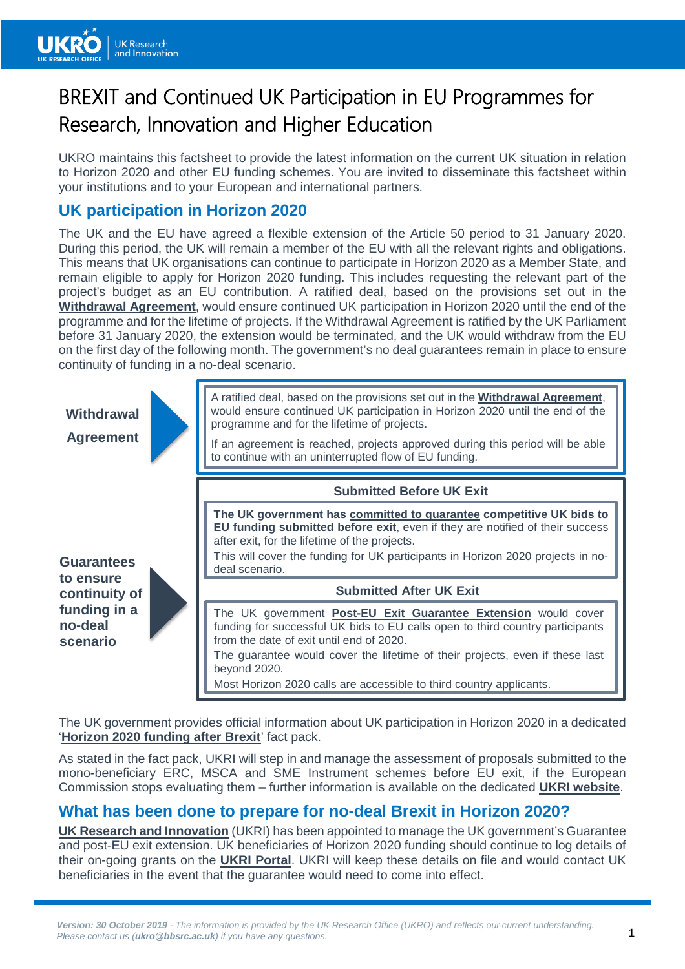

# BREXIT and Continued UK Participation in EU Programmes for Research, Innovation and Higher Education

UKRO maintains this factsheet to provide the latest information on the current UK situation in relation to Horizon 2020 and other EU funding schemes. You are invited to disseminate this factsheet within your institutions and to your European and international partners.

# **UK participation in Horizon 2020**

The UK and the EU have agreed a flexible extension of the Article 50 period to 31 January 2020. During this period, the UK will remain a member of the EU with all the relevant rights and obligations. This means that UK organisations can continue to participate in Horizon 2020 as a Member State, and remain eligible to apply for Horizon 2020 funding. This includes requesting the relevant part of the project's budget as an EU contribution. A ratified deal, based on the provisions set out in the **[Withdrawal Agreement](https://www.gov.uk/government/publications/new-withdrawal-agreement-and-political-declaration)**, would ensure continued UK participation in Horizon 2020 until the end of the programme and for the lifetime of projects. If the Withdrawal Agreement is ratified by the UK Parliament before 31 January 2020, the extension would be terminated, and the UK would withdraw from the EU on the first day of the following month. The government's no deal guarantees remain in place to ensure continuity of funding in a no-deal scenario.



The UK government provides official information about UK participation in Horizon 2020 in a dedicated '**[Horizon 2020 funding after Brexit](https://www.gov.uk/government/publications/uk-participation-in-horizon-2020-uk-government-overview/uk-participation-in-horizon-2020-after-brexit)**' fact pack.

As stated in the fact pack, UKRI will step in and manage the assessment of proposals submitted to the mono-beneficiary ERC, MSCA and SME Instrument schemes before EU exit, if the European Commission stops evaluating them – further information is available on the dedicated **UKRI [website](https://www.ukri.org/research/international/ukri-eu-exit/eu-exit-in-flight-applications/)**.

# **What has been done to prepare for no-deal Brexit in Horizon 2020?**

**[UK Research and Innovation](https://www.ukri.org/research/international/ukri-eu-exit/latest-eu-exit-news/)** (UKRI) has been appointed to manage the UK government's Guarantee and post-EU exit extension. UK beneficiaries of Horizon 2020 funding should continue to log details of their on-going grants on the **[UKRI Portal](https://apply-for-innovation-funding.service.gov.uk/eu-grant/overview?_ga=2.114147663.956534445.1538032440-1918887710.1534145458)**. UKRI will keep these details on file and would contact UK beneficiaries in the event that the guarantee would need to come into effect.